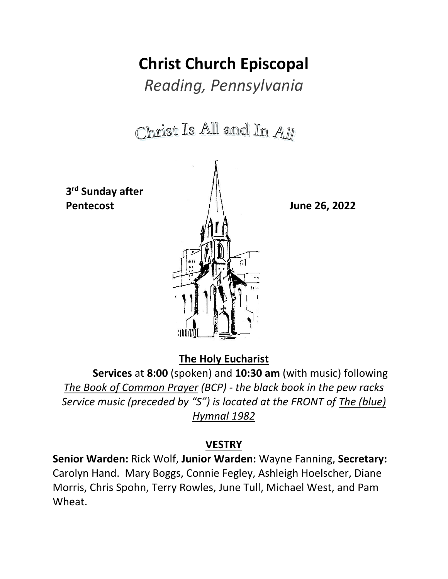# **Christ Church Episcopal**

*Reading, Pennsylvania*

Christ Is All and In All  **3 rd Sunday after Pentecost June 26, 2022**

**The Holy Eucharist**

**Services** at **8:00** (spoken) and **10:30 am** (with music) following *The Book of Common Prayer (BCP) - the black book in the pew racks Service music (preceded by "S") is located at the FRONT of The (blue) Hymnal 1982*

### **VESTRY**

**Senior Warden:** Rick Wolf, **Junior Warden:** Wayne Fanning, **Secretary:** Carolyn Hand. Mary Boggs, Connie Fegley, Ashleigh Hoelscher, Diane Morris, Chris Spohn, Terry Rowles, June Tull, Michael West, and Pam Wheat.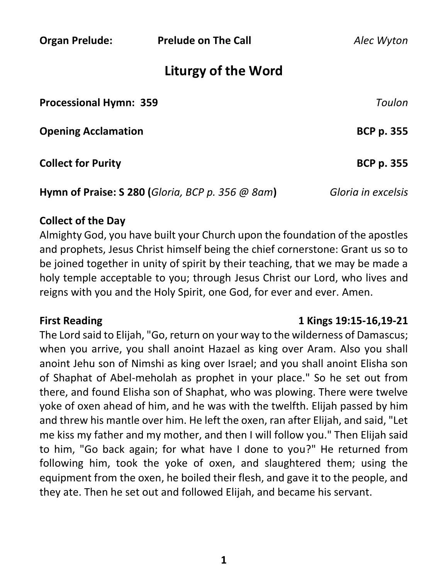**Organ Prelude: Prelude on The Call** *Alec Wyton*

# **Liturgy of the Word**

| <b>Processional Hymn: 359</b>                      | Toulon             |
|----------------------------------------------------|--------------------|
| <b>Opening Acclamation</b>                         | <b>BCP p. 355</b>  |
| <b>Collect for Purity</b>                          | <b>BCP p. 355</b>  |
| Hymn of Praise: S 280 (Gloria, BCP p. 356 $@$ 8am) | Gloria in excelsis |

#### **Collect of the Day**

Almighty God, you have built your Church upon the foundation of the apostles and prophets, Jesus Christ himself being the chief cornerstone: Grant us so to be joined together in unity of spirit by their teaching, that we may be made a holy temple acceptable to you; through Jesus Christ our Lord, who lives and reigns with you and the Holy Spirit, one God, for ever and ever. Amen.

#### **First Reading 1 Kings 19:15-16,19-21**

The Lord said to Elijah, "Go, return on your way to the wilderness of Damascus; when you arrive, you shall anoint Hazael as king over Aram. Also you shall anoint Jehu son of Nimshi as king over Israel; and you shall anoint Elisha son of Shaphat of Abel-meholah as prophet in your place." So he set out from there, and found Elisha son of Shaphat, who was plowing. There were twelve yoke of oxen ahead of him, and he was with the twelfth. Elijah passed by him and threw his mantle over him. He left the oxen, ran after Elijah, and said, "Let me kiss my father and my mother, and then I will follow you." Then Elijah said to him, "Go back again; for what have I done to you?" He returned from following him, took the yoke of oxen, and slaughtered them; using the equipment from the oxen, he boiled their flesh, and gave it to the people, and they ate. Then he set out and followed Elijah, and became his servant.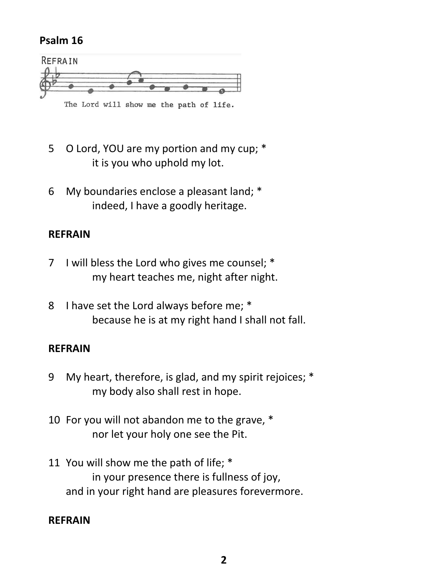#### **Psalm 16**



- 5 O Lord, YOU are my portion and my cup;  $*$ it is you who uphold my lot.
- 6 My boundaries enclose a pleasant land; \* indeed, I have a goodly heritage.

### **REFRAIN**

- 7 I will bless the Lord who gives me counsel; \* my heart teaches me, night after night.
- 8 I have set the Lord always before me; \* because he is at my right hand I shall not fall.

### **REFRAIN**

- 9 My heart, therefore, is glad, and my spirit rejoices; \* my body also shall rest in hope.
- 10 For you will not abandon me to the grave, \* nor let your holy one see the Pit.
- 11 You will show me the path of life; \* in your presence there is fullness of joy, and in your right hand are pleasures forevermore.

### **REFRAIN**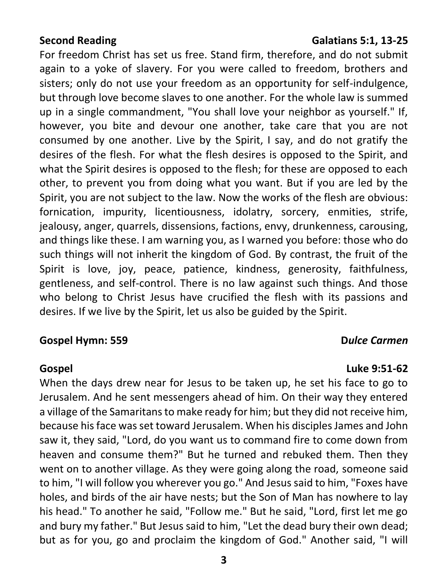#### **Second Reading Galatians 5:1, 13-25**

For freedom Christ has set us free. Stand firm, therefore, and do not submit again to a yoke of slavery. For you were called to freedom, brothers and sisters; only do not use your freedom as an opportunity for self-indulgence, but through love become slaves to one another. For the whole law is summed up in a single commandment, "You shall love your neighbor as yourself." If, however, you bite and devour one another, take care that you are not consumed by one another. Live by the Spirit, I say, and do not gratify the desires of the flesh. For what the flesh desires is opposed to the Spirit, and what the Spirit desires is opposed to the flesh; for these are opposed to each other, to prevent you from doing what you want. But if you are led by the Spirit, you are not subject to the law. Now the works of the flesh are obvious: fornication, impurity, licentiousness, idolatry, sorcery, enmities, strife, jealousy, anger, quarrels, dissensions, factions, envy, drunkenness, carousing, and things like these. I am warning you, as I warned you before: those who do such things will not inherit the kingdom of God. By contrast, the fruit of the Spirit is love, joy, peace, patience, kindness, generosity, faithfulness, gentleness, and self-control. There is no law against such things. And those who belong to Christ Jesus have crucified the flesh with its passions and desires. If we live by the Spirit, let us also be guided by the Spirit.

#### **Gospel Hymn: 559 D***ulce Carmen*

**Gospel Luke 9:51-62**

When the days drew near for Jesus to be taken up, he set his face to go to Jerusalem. And he sent messengers ahead of him. On their way they entered a village of the Samaritans to make ready for him; but they did not receive him, because his face was set toward Jerusalem. When his disciples James and John saw it, they said, "Lord, do you want us to command fire to come down from heaven and consume them?" But he turned and rebuked them. Then they went on to another village. As they were going along the road, someone said to him, "I will follow you wherever you go." And Jesus said to him, "Foxes have holes, and birds of the air have nests; but the Son of Man has nowhere to lay his head." To another he said, "Follow me." But he said, "Lord, first let me go and bury my father." But Jesus said to him, "Let the dead bury their own dead; but as for you, go and proclaim the kingdom of God." Another said, "I will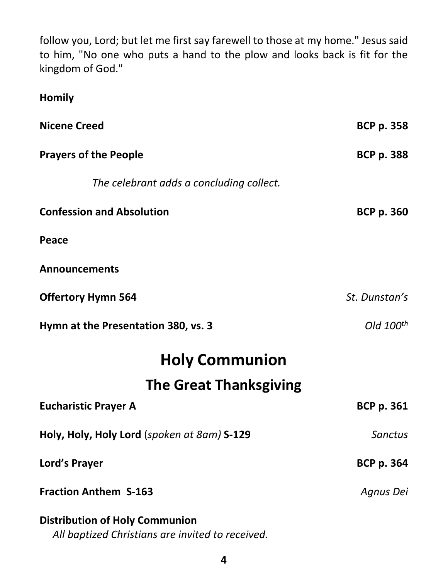follow you, Lord; but let me first say farewell to those at my home." Jesus said to him, "No one who puts a hand to the plow and looks back is fit for the kingdom of God."

**Homily**

| <b>Nicene Creed</b>                                                                       | <b>BCP p. 358</b> |
|-------------------------------------------------------------------------------------------|-------------------|
| <b>Prayers of the People</b>                                                              | <b>BCP p. 388</b> |
| The celebrant adds a concluding collect.                                                  |                   |
| <b>Confession and Absolution</b>                                                          | <b>BCP p. 360</b> |
| Peace                                                                                     |                   |
| <b>Announcements</b>                                                                      |                   |
| <b>Offertory Hymn 564</b>                                                                 | St. Dunstan's     |
| Hymn at the Presentation 380, vs. 3                                                       | Old $100^{th}$    |
| <b>Holy Communion</b>                                                                     |                   |
| <b>The Great Thanksgiving</b>                                                             |                   |
| <b>Eucharistic Prayer A</b>                                                               | <b>BCP p. 361</b> |
| Holy, Holy, Holy Lord (spoken at 8am) S-129                                               | <b>Sanctus</b>    |
| Lord's Prayer                                                                             | <b>BCP p. 364</b> |
| <b>Fraction Anthem S-163</b>                                                              | Agnus Dei         |
| <b>Distribution of Holy Communion</b><br>All baptized Christians are invited to received. |                   |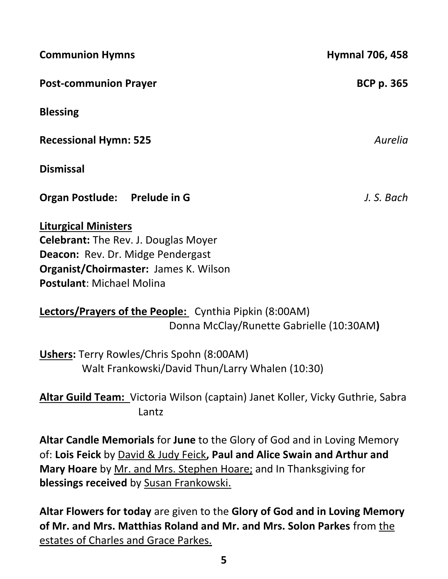| <b>Communion Hymns</b>                                                                                                                                                                                     | <b>Hymnal 706, 458</b> |
|------------------------------------------------------------------------------------------------------------------------------------------------------------------------------------------------------------|------------------------|
| <b>Post-communion Prayer</b>                                                                                                                                                                               | <b>BCP p. 365</b>      |
| <b>Blessing</b>                                                                                                                                                                                            |                        |
| <b>Recessional Hymn: 525</b>                                                                                                                                                                               | Aurelia                |
| <b>Dismissal</b>                                                                                                                                                                                           |                        |
| Organ Postlude: Prelude in G                                                                                                                                                                               | J. S. Bach             |
| <b>Liturgical Ministers</b><br><b>Celebrant:</b> The Rev. J. Douglas Moyer<br><b>Deacon: Rev. Dr. Midge Pendergast</b><br><b>Organist/Choirmaster: James K. Wilson</b><br><b>Postulant: Michael Molina</b> |                        |
| Lectors/Prayers of the People: Cynthia Pipkin (8:00AM)                                                                                                                                                     |                        |

Donna McClay/Runette Gabrielle (10:30AM**)**

**Ushers:** Terry Rowles/Chris Spohn (8:00AM) Walt Frankowski/David Thun/Larry Whalen (10:30)

**Altar Guild Team:** Victoria Wilson (captain) Janet Koller, Vicky Guthrie, Sabra Lantz

**Altar Candle Memorials** for **June** to the Glory of God and in Loving Memory of: **Lois Feick** by David & Judy Feick**, Paul and Alice Swain and Arthur and Mary Hoare** by Mr. and Mrs. Stephen Hoare; and In Thanksgiving for **blessings received** by Susan Frankowski.

**Altar Flowers for today** are given to the **Glory of God and in Loving Memory of Mr. and Mrs. Matthias Roland and Mr. and Mrs. Solon Parkes** from the estates of Charles and Grace Parkes.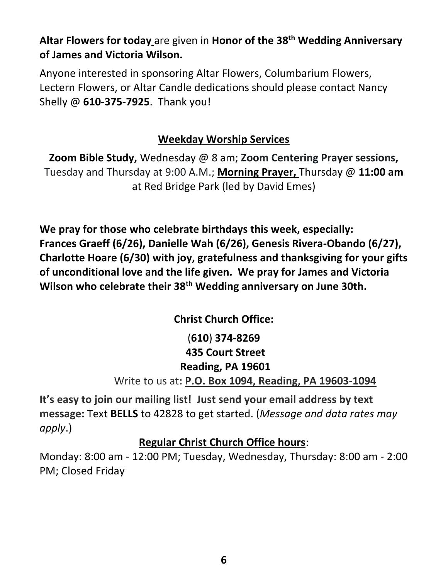**Altar Flowers for today** are given in **Honor of the 38th Wedding Anniversary of James and Victoria Wilson.**

Anyone interested in sponsoring Altar Flowers, Columbarium Flowers, Lectern Flowers, or Altar Candle dedications should please contact Nancy Shelly @ **610-375-7925**. Thank you!

# **Weekday Worship Services**

**Zoom Bible Study,** Wednesday @ 8 am; **Zoom Centering Prayer sessions,**  Tuesday and Thursday at 9:00 A.M.; **Morning Prayer,** Thursday @ **11:00 am** at Red Bridge Park (led by David Emes)

**We pray for those who celebrate birthdays this week, especially: Frances Graeff (6/26), Danielle Wah (6/26), Genesis Rivera-Obando (6/27), Charlotte Hoare (6/30) with joy, gratefulness and thanksgiving for your gifts of unconditional love and the life given. We pray for James and Victoria Wilson who celebrate their 38th Wedding anniversary on June 30th.**

**Christ Church Office:**

(**610**) **374-8269 435 Court Street Reading, PA 19601** Write to us at**: P.O. Box 1094, Reading, PA 19603-1094**

**It's easy to join our mailing list! Just send your email address by text message:** Text **BELLS** to 42828 to get started. (*Message and data rates may apply*.)

# **Regular Christ Church Office hours**:

Monday: 8:00 am - 12:00 PM; Tuesday, Wednesday, Thursday: 8:00 am - 2:00 PM; Closed Friday